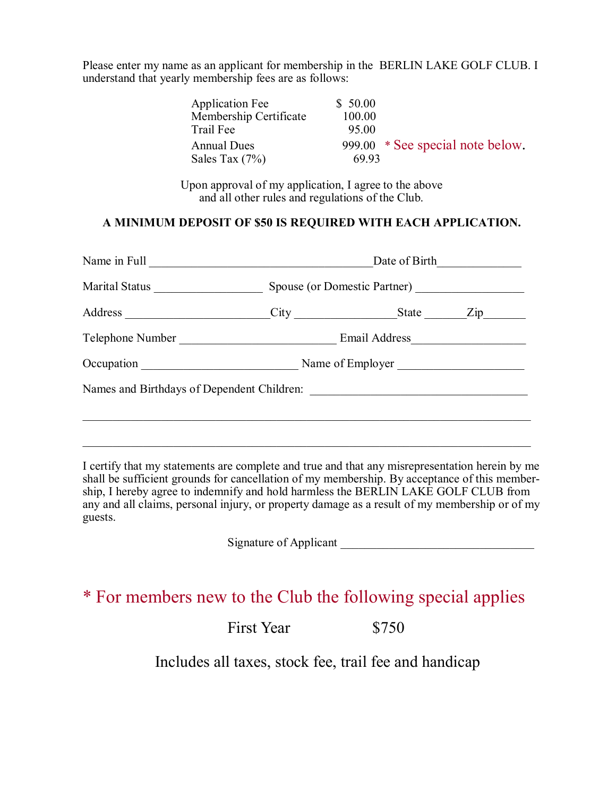Please enter my name as an applicant for membership in the BERLIN LAKE GOLF CLUB. I understand that yearly membership fees are as follows:

| <b>Application Fee</b> | \$50.00 |                                  |
|------------------------|---------|----------------------------------|
| Membership Certificate | 100.00  |                                  |
| Trail Fee              | 95.00   |                                  |
| <b>Annual Dues</b>     |         | 999.00 * See special note below. |
| Sales Tax $(7%)$       | 69.93   |                                  |

Upon approval of my application, I agree to the above and all other rules and regulations of the Club.

## **A MINIMUM DEPOSIT OF \$50 IS REQUIRED WITH EACH APPLICATION.**

|                                            | Date of Birth                |                  |  |  |
|--------------------------------------------|------------------------------|------------------|--|--|
| Marital Status                             | Spouse (or Domestic Partner) |                  |  |  |
|                                            |                              |                  |  |  |
| Telephone Number                           |                              |                  |  |  |
| Occupation                                 |                              | Name of Employer |  |  |
| Names and Birthdays of Dependent Children: |                              |                  |  |  |
|                                            |                              |                  |  |  |
|                                            |                              |                  |  |  |

I certify that my statements are complete and true and that any misrepresentation herein by me shall be sufficient grounds for cancellation of my membership. By acceptance of this membership, I hereby agree to indemnify and hold harmless the BERLIN LAKE GOLF CLUB from any and all claims, personal injury, or property damage as a result of my membership or of my guests.

Signature of Applicant

## \* For members new to the Club the following special applies

First Year \$750

Includes all taxes, stock fee, trail fee and handicap